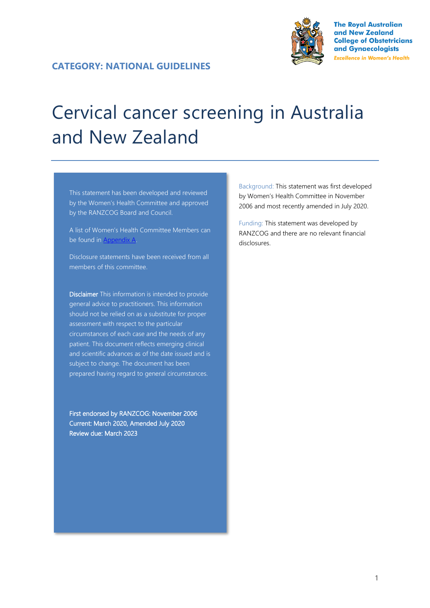

**The Royal Australian** and New Zealand **College of Obstetricians** and Gynaecologists **Excellence in Women's Health** 

#### **CATEGORY: NATIONAL GUIDELINES**

# Cervical cancer screening in Australia and New Zealand

This statement has been developed and reviewed by the Women's Health Committee and approved by the RANZCOG Board and Council.

A list of Women's Health Committee Members can be found in Appendix A.

Disclosure statements have been received from all members of this committee.

Disclaimer This information is intended to provide general advice to practitioners. This information should not be relied on as a substitute for proper assessment with respect to the particular circumstances of each case and the needs of any patient. This document reflects emerging clinical and scientific advances as of the date issued and is subject to change. The document has been prepared having regard to general circumstances.

First endorsed by RANZCOG: November 2006 Current: March 2020, Amended July 2020 Review due: March 2023

Background: This statement was first developed by Women's Health Committee in November 2006 and most recently amended in July 2020.

Funding: This statement was developed by RANZCOG and there are no relevant financial disclosures.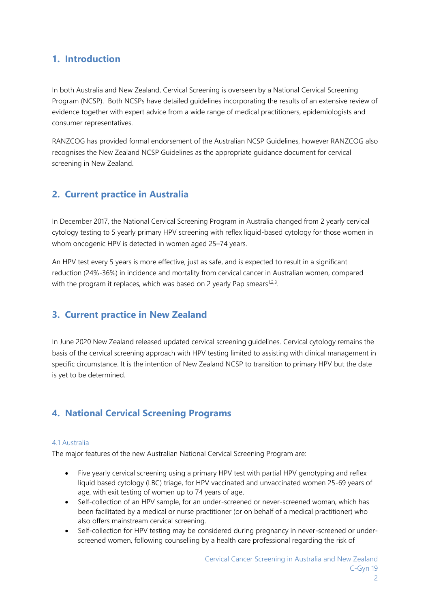## **1. Introduction**

In both Australia and New Zealand, Cervical Screening is overseen by a National Cervical Screening Program (NCSP). Both NCSPs have detailed guidelines incorporating the results of an extensive review of evidence together with expert advice from a wide range of medical practitioners, epidemiologists and consumer representatives.

RANZCOG has provided formal endorsement of the Australian NCSP Guidelines, however RANZCOG also recognises the New Zealand NCSP Guidelines as the appropriate guidance document for cervical screening in New Zealand.

## **2. Current practice in Australia**

In December 2017, the National Cervical Screening Program in Australia changed from 2 yearly cervical cytology testing to 5 yearly primary HPV screening with reflex liquid-based cytology for those women in whom oncogenic HPV is detected in women aged 25–74 years.

An HPV test every 5 years is more effective, just as safe, and is expected to result in a significant reduction (24%-36%) in incidence and mortality from cervical cancer in Australian women, compared with the program it replaces, which was based on 2 yearly Pap smears<sup>1,2,3</sup>.

## **3. Current practice in New Zealand**

In June 2020 New Zealand released updated cervical screening guidelines. Cervical cytology remains the basis of the cervical screening approach with HPV testing limited to assisting with clinical management in specific circumstance. It is the intention of New Zealand NCSP to transition to primary HPV but the date is yet to be determined.

## **4. National Cervical Screening Programs**

#### 4.1 Australia

The major features of the new Australian National Cervical Screening Program are:

- Five yearly cervical screening using a primary HPV test with partial HPV genotyping and reflex liquid based cytology (LBC) triage, for HPV vaccinated and unvaccinated women 25-69 years of age, with exit testing of women up to 74 years of age.
- Self-collection of an HPV sample, for an under-screened or never-screened woman, which has been facilitated by a medical or nurse practitioner (or on behalf of a medical practitioner) who also offers mainstream cervical screening.
- Self-collection for HPV testing may be considered during pregnancy in never-screened or underscreened women, following counselling by a health care professional regarding the risk of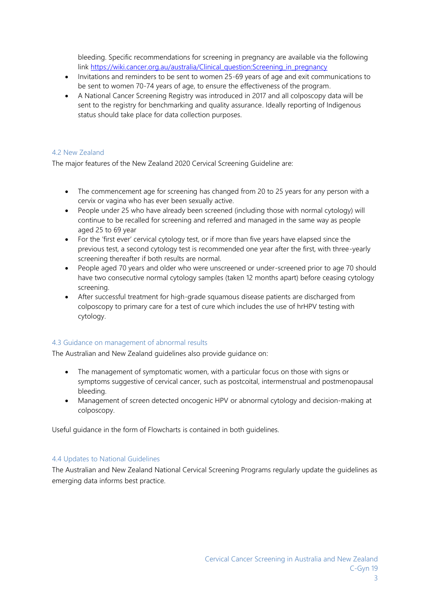bleeding. Specific recommendations for screening in pregnancy are available via the following link [https://wiki.cancer.org.au/australia/Clinical\\_question:Screening\\_in\\_pregnancy](https://wiki.cancer.org.au/australia/Clinical_question:Screening_in_pregnancy)

- Invitations and reminders to be sent to women 25-69 years of age and exit communications to be sent to women 70-74 years of age, to ensure the effectiveness of the program.
- A National Cancer Screening Registry was introduced in 2017 and all colposcopy data will be sent to the registry for benchmarking and quality assurance. Ideally reporting of Indigenous status should take place for data collection purposes.

#### 4.2 New Zealand

The major features of the New Zealand 2020 Cervical Screening Guideline are:

- The commencement age for screening has changed from 20 to 25 years for any person with a cervix or vagina who has ever been sexually active.
- People under 25 who have already been screened (including those with normal cytology) will continue to be recalled for screening and referred and managed in the same way as people aged 25 to 69 year
- For the 'first ever' cervical cytology test, or if more than five years have elapsed since the previous test, a second cytology test is recommended one year after the first, with three-yearly screening thereafter if both results are normal.
- People aged 70 years and older who were unscreened or under-screened prior to age 70 should have two consecutive normal cytology samples (taken 12 months apart) before ceasing cytology screening.
- After successful treatment for high-grade squamous disease patients are discharged from colposcopy to primary care for a test of cure which includes the use of hrHPV testing with cytology.

#### 4.3 Guidance on management of abnormal results

The Australian and New Zealand guidelines also provide guidance on:

- The management of symptomatic women, with a particular focus on those with signs or symptoms suggestive of cervical cancer, such as postcoital, intermenstrual and postmenopausal bleeding.
- Management of screen detected oncogenic HPV or abnormal cytology and decision-making at colposcopy.

Useful guidance in the form of Flowcharts is contained in both guidelines.

#### 4.4 Updates to National Guidelines

The Australian and New Zealand National Cervical Screening Programs regularly update the guidelines as emerging data informs best practice.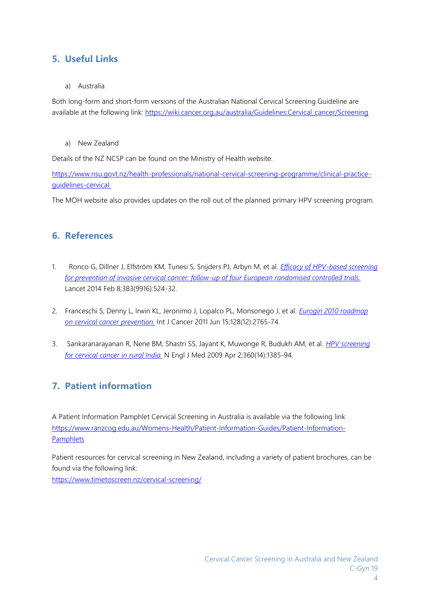## **5. Useful Links**

#### a) Australia

Both long-form and short-form versions of the Australian National Cervical Screening Guideline are available at the following link: [https://wiki.cancer.org.au/australia/Guidelines:Cervical\\_cancer/Screening](https://wiki.cancer.org.au/australia/Guidelines:Cervical_cancer/Screening)

a) New Zealand

Details of the NZ NCSP can be found on the Ministry of Health website.

[https://www.nsu.govt.nz/health-professionals/national-cervical-screening-programme/clinical-practice](https://www.nsu.govt.nz/health-professionals/national-cervical-screening-programme/clinical-practice-guidelines-cervical)[guidelines-cervical](https://www.nsu.govt.nz/health-professionals/national-cervical-screening-programme/clinical-practice-guidelines-cervical)

The MOH website also provides updates on the roll out of the planned primary HPV screening program.

## **6. References**

- 1. Ronco G, Dillner J, Elfström KM, Tunesi S, Snijders PJ, Arbyn M, et al. *[Efficacy of HPV-based screening](https://wiki.cancer.org.au/australia/Citation:Ronco_G,_Dillner_J,_Elfstr%C3%B6m_KM,_Tunesi_S,_Snijders_PJ,_Arbyn_M,_et_al_2014)  [for prevention of invasive cervical cancer: follow-up of four European randomised controlled trials.](https://wiki.cancer.org.au/australia/Citation:Ronco_G,_Dillner_J,_Elfstr%C3%B6m_KM,_Tunesi_S,_Snijders_PJ,_Arbyn_M,_et_al_2014)* Lancet 2014 Feb 8;383(9916):524-32.
- 2. Franceschi S, Denny L, Irwin KL, Jeronimo J, Lopalco PL, Monsonego J, et al. *[Eurogin 2010 roadmap](https://wiki.cancer.org.au/australia/Citation:Franceschi_S,_Denny_L,_Irwin_KL,_Jeronimo_J,_Lopalco_PL,_Monsonego_J,_et_al_2011)  [on cervical cancer prevention.](https://wiki.cancer.org.au/australia/Citation:Franceschi_S,_Denny_L,_Irwin_KL,_Jeronimo_J,_Lopalco_PL,_Monsonego_J,_et_al_2011)* Int J Cancer 2011 Jun 15;128(12):2765-74.
- 3. Sankaranarayanan R, Nene BM, Shastri SS, Jayant K, Muwonge R, Budukh AM, et al. *[HPV screening](https://wiki.cancer.org.au/australia/Citation:Sankaranarayanan_R,_Nene_BM,_Shastri_SS,_Jayant_K,_Muwonge_R,_Budukh_AM,_et_al_2009)  [for cervical cancer in rural India.](https://wiki.cancer.org.au/australia/Citation:Sankaranarayanan_R,_Nene_BM,_Shastri_SS,_Jayant_K,_Muwonge_R,_Budukh_AM,_et_al_2009)* N Engl J Med 2009 Apr 2;360(14):1385-94.

# **7. Patient information**

A Patient Information Pamphlet Cervical Screening in Australia is available via the following link [https://www.ranzcog.edu.au/Womens-Health/Patient-Information-Guides/Patient-Information-](https://www.ranzcog.edu.au/Womens-Health/Patient-Information-Guides/Patient-Information-Pamphlets)[Pamphlets](https://www.ranzcog.edu.au/Womens-Health/Patient-Information-Guides/Patient-Information-Pamphlets)

Patient resources for cervical screening in New Zealand, including a variety of patient brochures, can be found via the following link:

<https://www.timetoscreen.nz/cervical-screening/>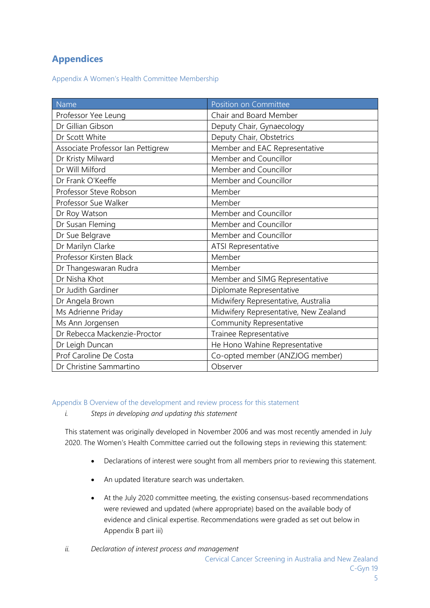# **Appendices**

Appendix A Women's Health Committee Membership

| Name                              | Position on Committee                 |
|-----------------------------------|---------------------------------------|
| Professor Yee Leung               | Chair and Board Member                |
| Dr Gillian Gibson                 | Deputy Chair, Gynaecology             |
| Dr Scott White                    | Deputy Chair, Obstetrics              |
| Associate Professor Ian Pettigrew | Member and EAC Representative         |
| Dr Kristy Milward                 | Member and Councillor                 |
| Dr Will Milford                   | Member and Councillor                 |
| Dr Frank O'Keeffe                 | Member and Councillor                 |
| Professor Steve Robson            | Member                                |
| Professor Sue Walker              | Member                                |
| Dr Roy Watson                     | Member and Councillor                 |
| Dr Susan Fleming                  | Member and Councillor                 |
| Dr Sue Belgrave                   | Member and Councillor                 |
| Dr Marilyn Clarke                 | ATSI Representative                   |
| Professor Kirsten Black           | Member                                |
| Dr Thangeswaran Rudra             | Member                                |
| Dr Nisha Khot                     | Member and SIMG Representative        |
| Dr Judith Gardiner                | Diplomate Representative              |
| Dr Angela Brown                   | Midwifery Representative, Australia   |
| Ms Adrienne Priday                | Midwifery Representative, New Zealand |
| Ms Ann Jorgensen                  | Community Representative              |
| Dr Rebecca Mackenzie-Proctor      | Trainee Representative                |
| Dr Leigh Duncan                   | He Hono Wahine Representative         |
| Prof Caroline De Costa            | Co-opted member (ANZJOG member)       |
| Dr Christine Sammartino           | Observer                              |

Appendix B Overview of the development and review process for this statement

*i. Steps in developing and updating this statement*

This statement was originally developed in November 2006 and was most recently amended in July 2020. The Women's Health Committee carried out the following steps in reviewing this statement:

- Declarations of interest were sought from all members prior to reviewing this statement.
- An updated literature search was undertaken.
- At the July 2020 committee meeting, the existing consensus-based recommendations were reviewed and updated (where appropriate) based on the available body of evidence and clinical expertise. Recommendations were graded as set out below in Appendix B part iii)
- *ii. Declaration of interest process and management*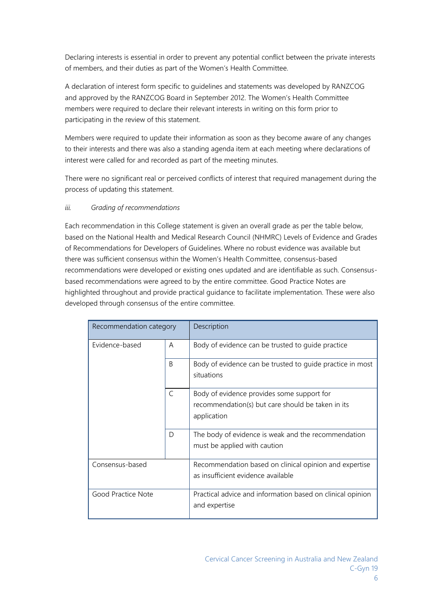Declaring interests is essential in order to prevent any potential conflict between the private interests of members, and their duties as part of the Women's Health Committee.

A declaration of interest form specific to guidelines and statements was developed by RANZCOG and approved by the RANZCOG Board in September 2012. The Women's Health Committee members were required to declare their relevant interests in writing on this form prior to participating in the review of this statement.

Members were required to update their information as soon as they become aware of any changes to their interests and there was also a standing agenda item at each meeting where declarations of interest were called for and recorded as part of the meeting minutes.

There were no significant real or perceived conflicts of interest that required management during the process of updating this statement.

#### *iii. Grading of recommendations*

Each recommendation in this College statement is given an overall grade as per the table below, based on the National Health and Medical Research Council (NHMRC) Levels of Evidence and Grades of Recommendations for Developers of Guidelines. Where no robust evidence was available but there was sufficient consensus within the Women's Health Committee, consensus-based recommendations were developed or existing ones updated and are identifiable as such. Consensusbased recommendations were agreed to by the entire committee. Good Practice Notes are highlighted throughout and provide practical guidance to facilitate implementation. These were also developed through consensus of the entire committee.

| Recommendation category |              | Description                                                                                                    |
|-------------------------|--------------|----------------------------------------------------------------------------------------------------------------|
| Evidence-based          | A            | Body of evidence can be trusted to guide practice                                                              |
|                         | <sub>B</sub> | Body of evidence can be trusted to guide practice in most<br>situations                                        |
|                         | C            | Body of evidence provides some support for<br>recommendation(s) but care should be taken in its<br>application |
|                         | D            | The body of evidence is weak and the recommendation<br>must be applied with caution                            |
| Consensus-based         |              | Recommendation based on clinical opinion and expertise<br>as insufficient evidence available                   |
| Good Practice Note      |              | Practical advice and information based on clinical opinion<br>and expertise                                    |